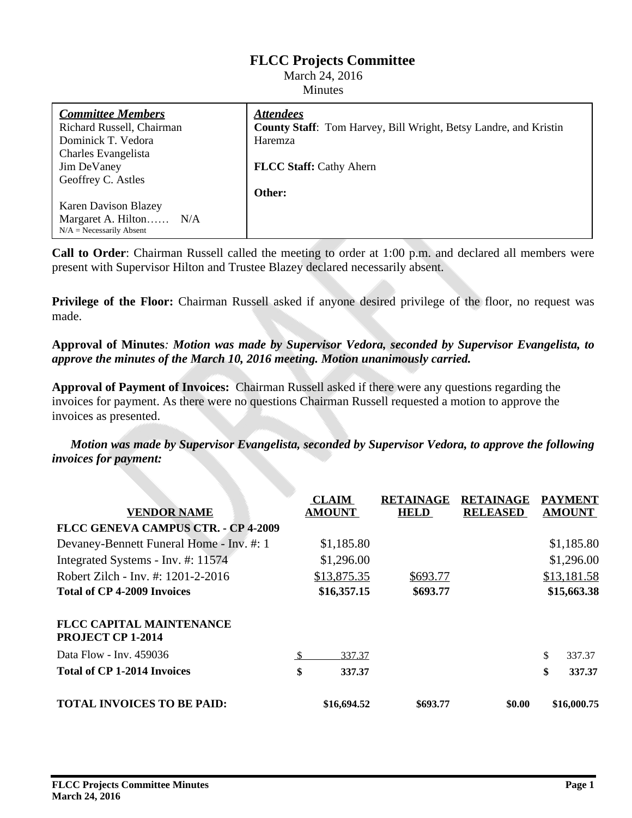# **FLCC Projects Committee**

#### March 24, 2016 Minutes

| <i><b>Attendees</b></i>                                                 |
|-------------------------------------------------------------------------|
| <b>County Staff:</b> Tom Harvey, Bill Wright, Betsy Landre, and Kristin |
| Haremza                                                                 |
|                                                                         |
| <b>FLCC Staff: Cathy Ahern</b>                                          |
|                                                                         |
| Other:                                                                  |
|                                                                         |
|                                                                         |
|                                                                         |
|                                                                         |

**Call to Order**: Chairman Russell called the meeting to order at 1:00 p.m. and declared all members were present with Supervisor Hilton and Trustee Blazey declared necessarily absent.

**Privilege of the Floor:** Chairman Russell asked if anyone desired privilege of the floor, no request was made.

**Approval of Minutes***: Motion was made by Supervisor Vedora, seconded by Supervisor Evangelista, to approve the minutes of the March 10, 2016 meeting. Motion unanimously carried.*

**Approval of Payment of Invoices:** Chairman Russell asked if there were any questions regarding the invoices for payment. As there were no questions Chairman Russell requested a motion to approve the invoices as presented.

*Motion was made by Supervisor Evangelista, seconded by Supervisor Vedora, to approve the following invoices for payment:*

| <b>VENDOR NAME</b>                                          |    | <b>CLAIM</b><br><b>AMOUNT</b> | <b>RETAINAGE</b><br><b>HELD</b> | <b>RETAINAGE</b><br><b>RELEASED</b> | <b>PAYMENT</b><br><b>AMOUNT</b> |
|-------------------------------------------------------------|----|-------------------------------|---------------------------------|-------------------------------------|---------------------------------|
| <b>FLCC GENEVA CAMPUS CTR. - CP 4-2009</b>                  |    |                               |                                 |                                     |                                 |
| Devaney-Bennett Funeral Home - Inv. #: 1                    |    | \$1,185.80                    |                                 |                                     | \$1,185.80                      |
| Integrated Systems - Inv. #: 11574                          |    | \$1,296.00                    |                                 |                                     | \$1,296.00                      |
| Robert Zilch - Inv. #: 1201-2-2016                          |    | \$13,875.35                   | \$693.77                        |                                     | \$13,181.58                     |
| <b>Total of CP 4-2009 Invoices</b>                          |    | \$16,357.15                   | \$693.77                        |                                     | \$15,663.38                     |
| <b>FLCC CAPITAL MAINTENANCE</b><br><b>PROJECT CP 1-2014</b> |    |                               |                                 |                                     |                                 |
| Data Flow - Inv. 459036                                     | £. | 337.37                        |                                 |                                     | \$<br>337.37                    |
| <b>Total of CP 1-2014 Invoices</b>                          | \$ | 337.37                        |                                 |                                     | \$<br>337.37                    |
| <b>TOTAL INVOICES TO BE PAID:</b>                           |    | \$16,694.52                   | \$693.77                        | \$0.00                              | \$16,000.75                     |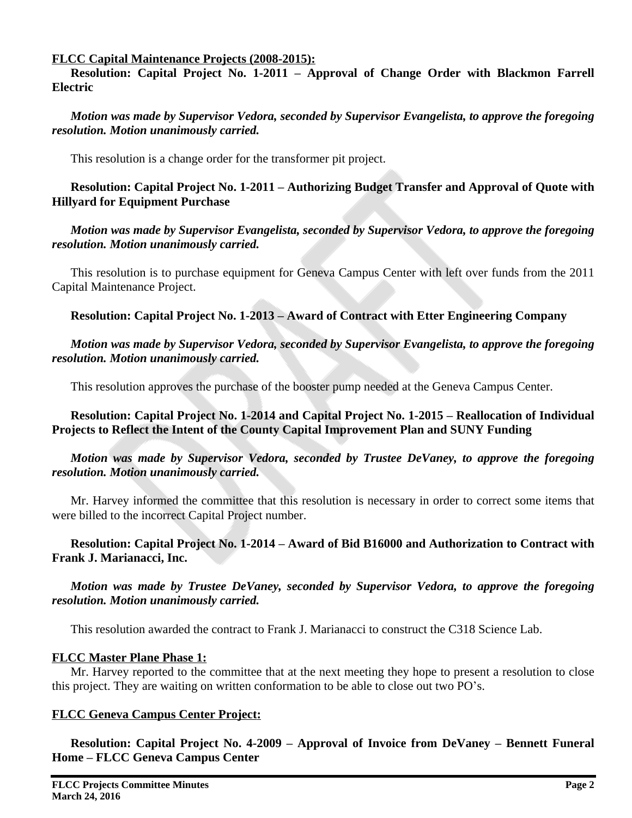#### **FLCC Capital Maintenance Projects (2008-2015):**

**Resolution: Capital Project No. 1-2011 – Approval of Change Order with Blackmon Farrell Electric**

*Motion was made by Supervisor Vedora, seconded by Supervisor Evangelista, to approve the foregoing resolution. Motion unanimously carried.*

This resolution is a change order for the transformer pit project.

**Resolution: Capital Project No. 1-2011 – Authorizing Budget Transfer and Approval of Quote with Hillyard for Equipment Purchase**

*Motion was made by Supervisor Evangelista, seconded by Supervisor Vedora, to approve the foregoing resolution. Motion unanimously carried.*

This resolution is to purchase equipment for Geneva Campus Center with left over funds from the 2011 Capital Maintenance Project.

# **Resolution: Capital Project No. 1-2013 – Award of Contract with Etter Engineering Company**

*Motion was made by Supervisor Vedora, seconded by Supervisor Evangelista, to approve the foregoing resolution. Motion unanimously carried.*

This resolution approves the purchase of the booster pump needed at the Geneva Campus Center.

# **Resolution: Capital Project No. 1-2014 and Capital Project No. 1-2015 – Reallocation of Individual Projects to Reflect the Intent of the County Capital Improvement Plan and SUNY Funding**

### *Motion was made by Supervisor Vedora, seconded by Trustee DeVaney, to approve the foregoing resolution. Motion unanimously carried.*

Mr. Harvey informed the committee that this resolution is necessary in order to correct some items that were billed to the incorrect Capital Project number.

### **Resolution: Capital Project No. 1-2014 – Award of Bid B16000 and Authorization to Contract with Frank J. Marianacci, Inc.**

*Motion was made by Trustee DeVaney, seconded by Supervisor Vedora, to approve the foregoing resolution. Motion unanimously carried.*

This resolution awarded the contract to Frank J. Marianacci to construct the C318 Science Lab.

#### **FLCC Master Plane Phase 1:**

Mr. Harvey reported to the committee that at the next meeting they hope to present a resolution to close this project. They are waiting on written conformation to be able to close out two PO's.

# **FLCC Geneva Campus Center Project:**

**Resolution: Capital Project No. 4-2009 – Approval of Invoice from DeVaney – Bennett Funeral Home – FLCC Geneva Campus Center**